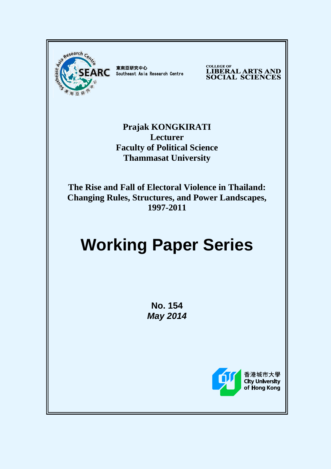

東南亞研究中心 Southeast Asia Research Centre **COLLEGE OF LIBERAL ARTS AND<br>SOCIAL SCIENCES** 

**Prajak KONGKIRATI Lecturer Faculty of Political Science Thammasat University**

**The Rise and Fall of Electoral Violence in Thailand: Changing Rules, Structures, and Power Landscapes, 1997-2011**

# **Working Paper Series**

**No. 154** *May 2014*

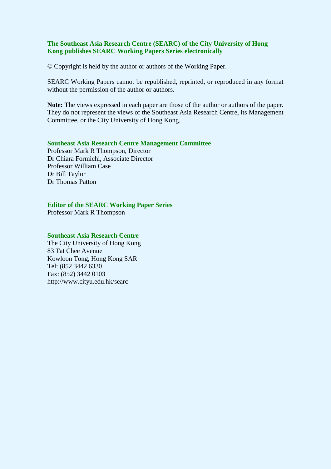# **The Southeast Asia Research Centre (SEARC) of the City University of Hong Kong publishes SEARC Working Papers Series electronically**

© Copyright is held by the author or authors of the Working Paper.

SEARC Working Papers cannot be republished, reprinted, or reproduced in any format without the permission of the author or authors.

**Note:** The views expressed in each paper are those of the author or authors of the paper. They do not represent the views of the Southeast Asia Research Centre, its Management Committee, or the City University of Hong Kong.

### **Southeast Asia Research Centre Management Committee**

Professor Mark R Thompson, Director Dr Chiara Formichi, Associate Director Professor William Case Dr Bill Taylor Dr Thomas Patton

#### **Editor of the SEARC Working Paper Series**

Professor Mark R Thompson

#### **Southeast Asia Research Centre**

The City University of Hong Kong 83 Tat Chee Avenue Kowloon Tong, Hong Kong SAR Tel: (852 3442 6330 Fax: (852) 3442 0103 http://www.cityu.edu.hk/searc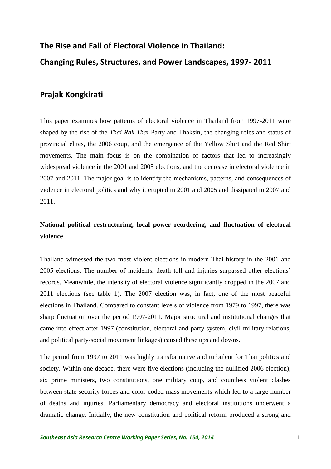# **The Rise and Fall of Electoral Violence in Thailand: Changing Rules, Structures, and Power Landscapes, 1997- 2011**

# **Prajak Kongkirati**

This paper examines how patterns of electoral violence in Thailand from 1997-2011 were shaped by the rise of the *Thai Rak Thai* Party and Thaksin, the changing roles and status of provincial elites, the 2006 coup, and the emergence of the Yellow Shirt and the Red Shirt movements. The main focus is on the combination of factors that led to increasingly widespread violence in the 2001 and 2005 elections, and the decrease in electoral violence in 2007 and 2011. The major goal is to identify the mechanisms, patterns, and consequences of violence in electoral politics and why it erupted in 2001 and 2005 and dissipated in 2007 and 2011.

# **National political restructuring, local power reordering, and fluctuation of electoral violence**

Thailand witnessed the two most violent elections in modern Thai history in the 2001 and 2005 elections. The number of incidents, death toll and injuries surpassed other elections' records. Meanwhile, the intensity of electoral violence significantly dropped in the 2007 and 2011 elections (see table 1). The 2007 election was, in fact, one of the most peaceful elections in Thailand. Compared to constant levels of violence from 1979 to 1997, there was sharp fluctuation over the period 1997-2011. Major structural and institutional changes that came into effect after 1997 (constitution, electoral and party system, civil-military relations, and political party-social movement linkages) caused these ups and downs.

The period from 1997 to 2011 was highly transformative and turbulent for Thai politics and society. Within one decade, there were five elections (including the nullified 2006 election), six prime ministers, two constitutions, one military coup, and countless violent clashes between state security forces and color-coded mass movements which led to a large number of deaths and injuries. Parliamentary democracy and electoral institutions underwent a dramatic change. Initially, the new constitution and political reform produced a strong and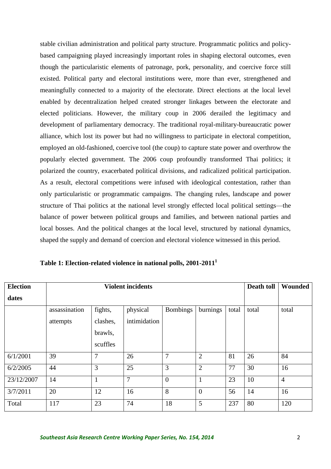stable civilian administration and political party structure. Programmatic politics and policybased campaigning played increasingly important roles in shaping electoral outcomes, even though the particularistic elements of patronage, pork, personality, and coercive force still existed. Political party and electoral institutions were, more than ever, strengthened and meaningfully connected to a majority of the electorate. Direct elections at the local level enabled by decentralization helped created stronger linkages between the electorate and elected politicians. However, the military coup in 2006 derailed the legitimacy and development of parliamentary democracy. The traditional royal-military-bureaucratic power alliance, which lost its power but had no willingness to participate in electoral competition, employed an old-fashioned, coercive tool (the coup) to capture state power and overthrow the popularly elected government. The 2006 coup profoundly transformed Thai politics; it polarized the country, exacerbated political divisions, and radicalized political participation. As a result, electoral competitions were infused with ideological contestation, rather than only particularistic or programmatic campaigns. The changing rules, landscape and power structure of Thai politics at the national level strongly effected local political settings—the balance of power between political groups and families, and between national parties and local bosses. And the political changes at the local level, structured by national dynamics, shaped the supply and demand of coercion and electoral violence witnessed in this period.

| <b>Election</b> | <b>Violent incidents</b> |              |                |                 |                |       | <b>Death toll</b> | Wounded        |
|-----------------|--------------------------|--------------|----------------|-----------------|----------------|-------|-------------------|----------------|
| dates           |                          |              |                |                 |                |       |                   |                |
|                 | assassination            | fights,      | physical       | <b>Bombings</b> | burnings       | total | total             | total          |
|                 | attempts                 | clashes,     | intimidation   |                 |                |       |                   |                |
|                 |                          | brawls,      |                |                 |                |       |                   |                |
|                 |                          | scuffles     |                |                 |                |       |                   |                |
| 6/1/2001        | 39                       | 7            | 26             | 7               | $\overline{2}$ | 81    | 26                | 84             |
| 6/2/2005        | 44                       | 3            | 25             | 3               | $\overline{2}$ | 77    | 30                | 16             |
| 23/12/2007      | 14                       | $\mathbf{1}$ | $\overline{7}$ | $\overline{0}$  | $\mathbf{1}$   | 23    | 10                | $\overline{4}$ |
| 3/7/2011        | 20                       | 12           | 16             | 8               | $\overline{0}$ | 56    | 14                | 16             |
| Total           | 117                      | 23           | 74             | 18              | 5              | 237   | 80                | 120            |

**Table 1: Election-related violence in national polls, 2001-2011<sup>1</sup>**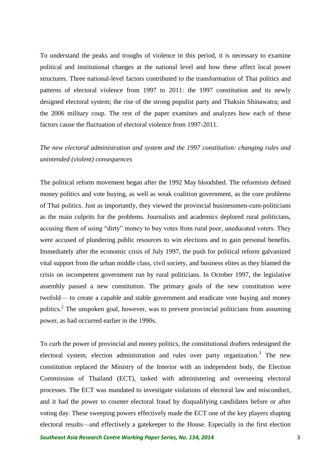To understand the peaks and troughs of violence in this period, it is necessary to examine political and institutional changes at the national level and how these affect local power structures. Three national-level factors contributed to the transformation of Thai politics and patterns of electoral violence from 1997 to 2011: the 1997 constitution and its newly designed electoral system; the rise of the strong populist party and Thaksin Shinawatra; and the 2006 military coup. The rest of the paper examines and analyzes how each of these factors cause the fluctuation of electoral violence from 1997-2011.

# *The new electoral administration and system and the 1997 constitution: changing rules and unintended (violent) consequences*

The political reform movement began after the 1992 May bloodshed. The reformists defined money politics and vote buying, as well as weak coalition government, as the core problems of Thai politics. Just as importantly, they viewed the provincial businessmen-cum-politicians as the main culprits for the problems. Journalists and academics deplored rural politicians, accusing them of using "dirty" money to buy votes from rural poor, uneducated voters. They were accused of plundering public resources to win elections and to gain personal benefits. Immediately after the economic crisis of July 1997, the push for political reform galvanized vital support from the urban middle class, civil society, and business elites as they blamed the crisis on incompetent government run by rural politicians. In October 1997, the legislative assembly passed a new constitution. The primary goals of the new constitution were twofold— to create a capable and stable government and eradicate vote buying and money politics.<sup>2</sup> The unspoken goal, however, was to prevent provincial politicians from assuming power, as had occurred earlier in the 1990s.

To curb the power of provincial and money politics, the constitutional drafters redesigned the electoral system, election administration and rules over party organization.<sup>3</sup> The new constitution replaced the Ministry of the Interior with an independent body, the Election Commission of Thailand (ECT), tasked with administering and overseeing electoral processes. The ECT was mandated to investigate violations of electoral law and misconduct, and it had the power to counter electoral fraud by disqualifying candidates before or after voting day. These sweeping powers effectively made the ECT one of the key players shaping electoral results—and effectively a gatekeeper to the House. Especially in the first election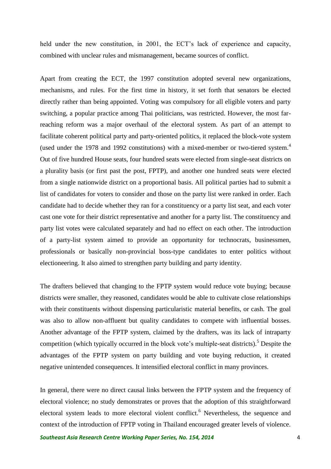held under the new constitution, in 2001, the ECT's lack of experience and capacity, combined with unclear rules and mismanagement, became sources of conflict.

Apart from creating the ECT, the 1997 constitution adopted several new organizations, mechanisms, and rules. For the first time in history, it set forth that senators be elected directly rather than being appointed. Voting was compulsory for all eligible voters and party switching, a popular practice among Thai politicians, was restricted. However, the most farreaching reform was a major overhaul of the electoral system. As part of an attempt to facilitate coherent political party and party-oriented politics, it replaced the block-vote system (used under the 1978 and 1992 constitutions) with a mixed-member or two-tiered system.<sup>4</sup> Out of five hundred House seats, four hundred seats were elected from single-seat districts on a plurality basis (or first past the post, FPTP), and another one hundred seats were elected from a single nationwide district on a proportional basis. All political parties had to submit a list of candidates for voters to consider and those on the party list were ranked in order. Each candidate had to decide whether they ran for a constituency or a party list seat, and each voter cast one vote for their district representative and another for a party list. The constituency and party list votes were calculated separately and had no effect on each other. The introduction of a party-list system aimed to provide an opportunity for technocrats, businessmen, professionals or basically non-provincial boss-type candidates to enter politics without electioneering. It also aimed to strengthen party building and party identity.

The drafters believed that changing to the FPTP system would reduce vote buying; because districts were smaller, they reasoned, candidates would be able to cultivate close relationships with their constituents without dispensing particularistic material benefits, or cash. The goal was also to allow non-affluent but quality candidates to compete with influential bosses. Another advantage of the FPTP system, claimed by the drafters, was its lack of intraparty competition (which typically occurred in the block vote's multiple-seat districts).<sup>5</sup> Despite the advantages of the FPTP system on party building and vote buying reduction, it created negative unintended consequences. It intensified electoral conflict in many provinces.

In general, there were no direct causal links between the FPTP system and the frequency of electoral violence; no study demonstrates or proves that the adoption of this straightforward electoral system leads to more electoral violent conflict.<sup>6</sup> Nevertheless, the sequence and context of the introduction of FPTP voting in Thailand encouraged greater levels of violence.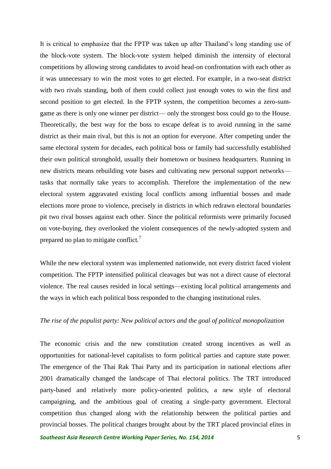It is critical to emphasize that the FPTP was taken up after Thailand's long standing use of the block-vote system. The block-vote system helped diminish the intensity of electoral competitions by allowing strong candidates to avoid head-on confrontation with each other as it was unnecessary to win the most votes to get elected. For example, in a two-seat district with two rivals standing, both of them could collect just enough votes to win the first and second position to get elected. In the FPTP system, the competition becomes a zero-sumgame as there is only one winner per district— only the strongest boss could go to the House. Theoretically, the best way for the boss to escape defeat is to avoid running in the same district as their main rival, but this is not an option for everyone. After competing under the same electoral system for decades, each political boss or family had successfully established their own political stronghold, usually their hometown or business headquarters. Running in new districts means rebuilding vote bases and cultivating new personal support networks tasks that normally take years to accomplish. Therefore the implementation of the new electoral system aggravated existing local conflicts among influential bosses and made elections more prone to violence, precisely in districts in which redrawn electoral boundaries pit two rival bosses against each other. Since the political reformists were primarily focused on vote-buying, they overlooked the violent consequences of the newly-adopted system and prepared no plan to mitigate conflict.<sup>7</sup>

While the new electoral system was implemented nationwide, not every district faced violent competition. The FPTP intensified political cleavages but was not a direct cause of electoral violence. The real causes resided in local settings—existing local political arrangements and the ways in which each political boss responded to the changing institutional rules.

## *The rise of the populist party: New political actors and the goal of political monopolization*

The economic crisis and the new constitution created strong incentives as well as opportunities for national-level capitalists to form political parties and capture state power. The emergence of the Thai Rak Thai Party and its participation in national elections after 2001 dramatically changed the landscape of Thai electoral politics. The TRT introduced party-based and relatively more policy-oriented politics, a new style of electoral campaigning, and the ambitious goal of creating a single-party government. Electoral competition thus changed along with the relationship between the political parties and provincial bosses. The political changes brought about by the TRT placed provincial elites in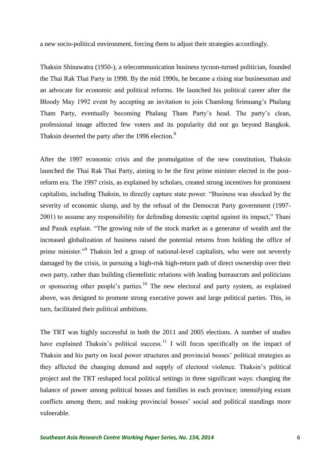a new socio-political environment, forcing them to adjust their strategies accordingly.

Thaksin Shinawatra (1950-), a telecommunication business tycoon-turned politician, founded the Thai Rak Thai Party in 1998. By the mid 1990s, he became a rising star businessman and an advocate for economic and political reforms. He launched his political career after the Bloody May 1992 event by accepting an invitation to join Chamlong Srimuang's Phalang Tham Party, eventually becoming Phalang Tham Party's head. The party's clean, professional image affected few voters and its popularity did not go beyond Bangkok. Thaksin deserted the party after the 1996 election.<sup>8</sup>

After the 1997 economic crisis and the promulgation of the new constitution, Thaksin launched the Thai Rak Thai Party, aiming to be the first prime minister elected in the postreform era. The 1997 crisis, as explained by scholars, created strong incentives for prominent capitalists, including Thaksin, to directly capture state power. "Business was shocked by the severity of economic slump, and by the refusal of the Democrat Party government (1997- 2001) to assume any responsibility for defending domestic capital against its impact," Thani and Pasuk explain. "The growing role of the stock market as a generator of wealth and the increased globalization of business raised the potential returns from holding the office of prime minister."<sup>9</sup> Thaksin led a group of national-level capitalists, who were not severely damaged by the crisis, in pursuing a high-risk high-return path of direct ownership over their own party, rather than building clientelistic relations with leading bureaucrats and politicians or sponsoring other people's parties.<sup>10</sup> The new electoral and party system, as explained above, was designed to promote strong executive power and large political parties. This, in turn, facilitated their political ambitions.

The TRT was highly successful in both the 2011 and 2005 elections. A number of studies have explained Thaksin's political success.<sup>11</sup> I will focus specifically on the impact of Thaksin and his party on local power structures and provincial bosses' political strategies as they affected the changing demand and supply of electoral violence. Thaksin's political project and the TRT reshaped local political settings in three significant ways: changing the balance of power among political bosses and families in each province; intensifying extant conflicts among them; and making provincial bosses' social and political standings more vulnerable.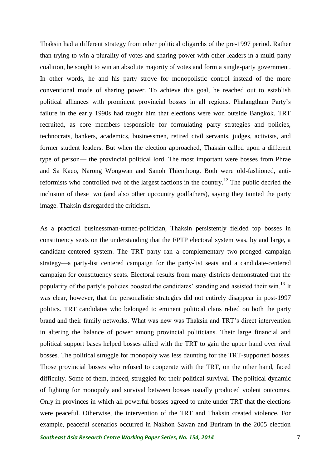Thaksin had a different strategy from other political oligarchs of the pre-1997 period. Rather than trying to win a plurality of votes and sharing power with other leaders in a multi-party coalition, he sought to win an absolute majority of votes and form a single-party government. In other words, he and his party strove for monopolistic control instead of the more conventional mode of sharing power. To achieve this goal, he reached out to establish political alliances with prominent provincial bosses in all regions. Phalangtham Party's failure in the early 1990s had taught him that elections were won outside Bangkok. TRT recruited, as core members responsible for formulating party strategies and policies, technocrats, bankers, academics, businessmen, retired civil servants, judges, activists, and former student leaders. But when the election approached, Thaksin called upon a different type of person— the provincial political lord. The most important were bosses from Phrae and Sa Kaeo, Narong Wongwan and Sanoh Thienthong. Both were old-fashioned, antireformists who controlled two of the largest factions in the country.<sup>12</sup> The public decried the inclusion of these two (and also other upcountry godfathers), saying they tainted the party image. Thaksin disregarded the criticism.

As a practical businessman-turned-politician, Thaksin persistently fielded top bosses in constituency seats on the understanding that the FPTP electoral system was, by and large, a candidate-centered system. The TRT party ran a complementary two-pronged campaign strategy—a party-list centered campaign for the party-list seats and a candidate-centered campaign for constituency seats. Electoral results from many districts demonstrated that the popularity of the party's policies boosted the candidates' standing and assisted their win.<sup>13</sup> It was clear, however, that the personalistic strategies did not entirely disappear in post-1997 politics. TRT candidates who belonged to eminent political clans relied on both the party brand and their family networks. What was new was Thaksin and TRT's direct intervention in altering the balance of power among provincial politicians. Their large financial and political support bases helped bosses allied with the TRT to gain the upper hand over rival bosses. The political struggle for monopoly was less daunting for the TRT-supported bosses. Those provincial bosses who refused to cooperate with the TRT, on the other hand, faced difficulty. Some of them, indeed, struggled for their political survival. The political dynamic of fighting for monopoly and survival between bosses usually produced violent outcomes. Only in provinces in which all powerful bosses agreed to unite under TRT that the elections were peaceful. Otherwise, the intervention of the TRT and Thaksin created violence. For example, peaceful scenarios occurred in Nakhon Sawan and Buriram in the 2005 election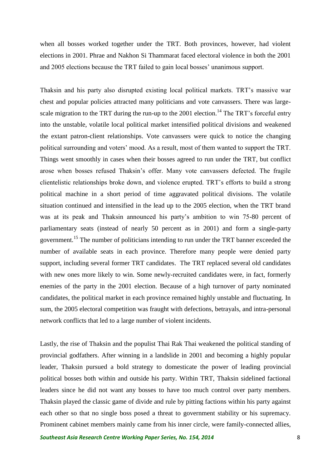when all bosses worked together under the TRT. Both provinces, however, had violent elections in 2001. Phrae and Nakhon Si Thammarat faced electoral violence in both the 2001 and 2005 elections because the TRT failed to gain local bosses' unanimous support.

Thaksin and his party also disrupted existing local political markets. TRT's massive war chest and popular policies attracted many politicians and vote canvassers. There was largescale migration to the TRT during the run-up to the  $2001$  election.<sup>14</sup> The TRT's forceful entry into the unstable, volatile local political market intensified political divisions and weakened the extant patron-client relationships. Vote canvassers were quick to notice the changing political surrounding and voters' mood. As a result, most of them wanted to support the TRT. Things went smoothly in cases when their bosses agreed to run under the TRT, but conflict arose when bosses refused Thaksin's offer. Many vote canvassers defected. The fragile clientelistic relationships broke down, and violence erupted. TRT's efforts to build a strong political machine in a short period of time aggravated political divisions. The volatile situation continued and intensified in the lead up to the 2005 election, when the TRT brand was at its peak and Thaksin announced his party's ambition to win 75-80 percent of parliamentary seats (instead of nearly 50 percent as in 2001) and form a single-party government.<sup>15</sup> The number of politicians intending to run under the TRT banner exceeded the number of available seats in each province. Therefore many people were denied party support, including several former TRT candidates. The TRT replaced several old candidates with new ones more likely to win. Some newly-recruited candidates were, in fact, formerly enemies of the party in the 2001 election. Because of a high turnover of party nominated candidates, the political market in each province remained highly unstable and fluctuating. In sum, the 2005 electoral competition was fraught with defections, betrayals, and intra-personal network conflicts that led to a large number of violent incidents.

Lastly, the rise of Thaksin and the populist Thai Rak Thai weakened the political standing of provincial godfathers. After winning in a landslide in 2001 and becoming a highly popular leader, Thaksin pursued a bold strategy to domesticate the power of leading provincial political bosses both within and outside his party. Within TRT, Thaksin sidelined factional leaders since he did not want any bosses to have too much control over party members. Thaksin played the classic game of divide and rule by pitting factions within his party against each other so that no single boss posed a threat to government stability or his supremacy. Prominent cabinet members mainly came from his inner circle, were family-connected allies,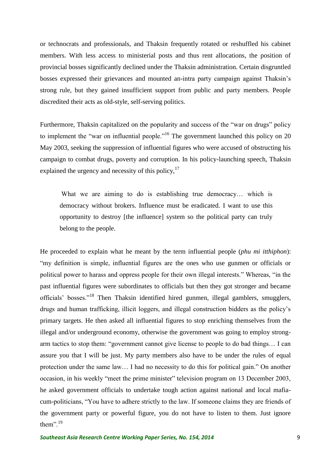or technocrats and professionals, and Thaksin frequently rotated or reshuffled his cabinet members. With less access to ministerial posts and thus rent allocations, the position of provincial bosses significantly declined under the Thaksin administration. Certain disgruntled bosses expressed their grievances and mounted an-intra party campaign against Thaksin's strong rule, but they gained insufficient support from public and party members. People discredited their acts as old-style, self-serving politics.

Furthermore, Thaksin capitalized on the popularity and success of the "war on drugs" policy to implement the "war on influential people."<sup>16</sup> The government launched this policy on 20 May 2003, seeking the suppression of influential figures who were accused of obstructing his campaign to combat drugs, poverty and corruption. In his policy-launching speech, Thaksin explained the urgency and necessity of this policy,  $17$ 

What we are aiming to do is establishing true democracy... which is democracy without brokers. Influence must be eradicated. I want to use this opportunity to destroy [the influence] system so the political party can truly belong to the people.

He proceeded to explain what he meant by the term influential people (*phu mi itthiphon*): "my definition is simple, influential figures are the ones who use gunmen or officials or political power to harass and oppress people for their own illegal interests." Whereas, "in the past influential figures were subordinates to officials but then they got stronger and became officials' bosses."<sup>18</sup> Then Thaksin identified hired gunmen, illegal gamblers, smugglers, drugs and human trafficking, illicit loggers, and illegal construction bidders as the policy's primary targets. He then asked all influential figures to stop enriching themselves from the illegal and/or underground economy, otherwise the government was going to employ strongarm tactics to stop them: "government cannot give license to people to do bad things… I can assure you that I will be just. My party members also have to be under the rules of equal protection under the same law… I had no necessity to do this for political gain." On another occasion, in his weekly "meet the prime minister" television program on 13 December 2003, he asked government officials to undertake tough action against national and local mafiacum-politicians, "You have to adhere strictly to the law. If someone claims they are friends of the government party or powerful figure, you do not have to listen to them. Just ignore them". $^{19}$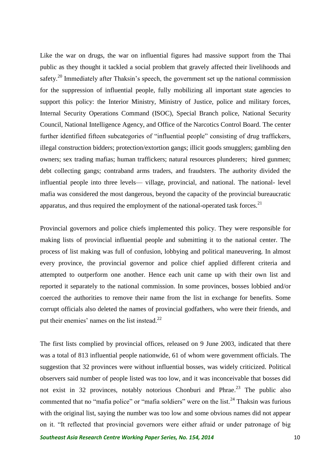Like the war on drugs, the war on influential figures had massive support from the Thai public as they thought it tackled a social problem that gravely affected their livelihoods and safety.<sup>20</sup> Immediately after Thaksin's speech, the government set up the national commission for the suppression of influential people, fully mobilizing all important state agencies to support this policy: the Interior Ministry, Ministry of Justice, police and military forces, Internal Security Operations Command (ISOC), Special Branch police, National Security Council, National Intelligence Agency, and Office of the Narcotics Control Board. The center further identified fifteen subcategories of "influential people" consisting of drug traffickers, illegal construction bidders; protection/extortion gangs; illicit goods smugglers; gambling den owners; sex trading mafias; human traffickers; natural resources plunderers; hired gunmen; debt collecting gangs; contraband arms traders, and fraudsters. The authority divided the influential people into three levels— village, provincial, and national. The national- level mafia was considered the most dangerous, beyond the capacity of the provincial bureaucratic apparatus, and thus required the employment of the national-operated task forces.<sup>21</sup>

Provincial governors and police chiefs implemented this policy. They were responsible for making lists of provincial influential people and submitting it to the national center. The process of list making was full of confusion, lobbying and political maneuvering. In almost every province, the provincial governor and police chief applied different criteria and attempted to outperform one another. Hence each unit came up with their own list and reported it separately to the national commission. In some provinces, bosses lobbied and/or coerced the authorities to remove their name from the list in exchange for benefits. Some corrupt officials also deleted the names of provincial godfathers, who were their friends, and put their enemies' names on the list instead. $^{22}$ 

The first lists complied by provincial offices, released on 9 June 2003, indicated that there was a total of 813 influential people nationwide, 61 of whom were government officials. The suggestion that 32 provinces were without influential bosses, was widely criticized. Political observers said number of people listed was too low, and it was inconceivable that bosses did not exist in 32 provinces, notably notorious Chonburi and Phrae.<sup>23</sup> The public also commented that no "mafia police" or "mafia soldiers" were on the list.<sup>24</sup> Thaksin was furious with the original list, saying the number was too low and some obvious names did not appear on it. "It reflected that provincial governors were either afraid or under patronage of big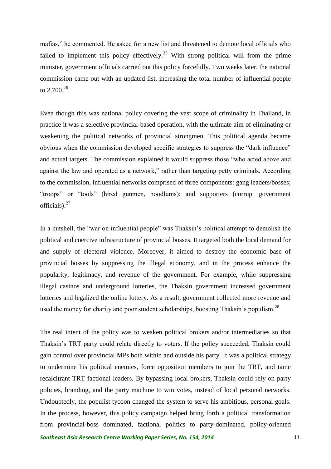mafias," he commented. He asked for a new list and threatened to demote local officials who failed to implement this policy effectively.<sup>25</sup> With strong political will from the prime minister, government officials carried out this policy forcefully. Two weeks later, the national commission came out with an updated list, increasing the total number of influential people to 2,700. $^{26}$ 

Even though this was national policy covering the vast scope of criminality in Thailand, in practice it was a selective provincial-based operation, with the ultimate aim of eliminating or weakening the political networks of provincial strongmen. This political agenda became obvious when the commission developed specific strategies to suppress the "dark influence" and actual targets. The commission explained it would suppress those "who acted above and against the law and operated as a network," rather than targeting petty criminals. According to the commission, influential networks comprised of three components: gang leaders/bosses; "troops" or "tools" (hired gunmen, hoodlums); and supporters (corrupt government officials). $27$ 

In a nutshell, the "war on influential people" was Thaksin's political attempt to demolish the political and coercive infrastructure of provincial bosses. It targeted both the local demand for and supply of electoral violence. Moreover, it aimed to destroy the economic base of provincial bosses by suppressing the illegal economy, and in the process enhance the popularity, legitimacy, and revenue of the government. For example, while suppressing illegal casinos and underground lotteries, the Thaksin government increased government lotteries and legalized the online lottery. As a result, government collected more revenue and used the money for charity and poor student scholarships, boosting Thaksin's populism.<sup>28</sup>

The real intent of the policy was to weaken political brokers and/or intermediaries so that Thaksin's TRT party could relate directly to voters. If the policy succeeded, Thaksin could gain control over provincial MPs both within and outside his party. It was a political strategy to undermine his political enemies, force opposition members to join the TRT, and tame recalcitrant TRT factional leaders. By bypassing local brokers, Thaksin could rely on party policies, branding, and the party machine to win votes, instead of local personal networks. Undoubtedly, the populist tycoon changed the system to serve his ambitious, personal goals. In the process, however, this policy campaign helped bring forth a political transformation from provincial-boss dominated, factional politics to party-dominated, policy-oriented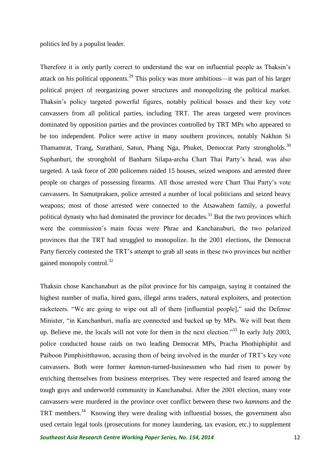politics led by a populist leader.

Therefore it is only partly correct to understand the war on influential people as Thaksin's attack on his political opponents.<sup>29</sup> This policy was more ambitious—it was part of his larger political project of reorganizing power structures and monopolizing the political market. Thaksin's policy targeted powerful figures, notably political bosses and their key vote canvassers from all political parties, including TRT. The areas targeted were provinces dominated by opposition parties and the provinces controlled by TRT MPs who appeared to be too independent. Police were active in many southern provinces, notably Nakhon Si Thamamrat, Trang, Surathani, Satun, Phang Nga, Phuket, Democrat Party strongholds.<sup>30</sup> Suphanburi, the stronghold of Banharn Silapa-archa Chart Thai Party's head, was also targeted. A task force of 200 policemen raided 15 houses, seized weapons and arrested three people on charges of possessing firearms. All those arrested were Chart Thai Party's vote canvassers. In Samutprakarn, police arrested a number of local politicians and seized heavy weapons; most of those arrested were connected to the Atsawahem family, a powerful political dynasty who had dominated the province for decades.<sup>31</sup> But the two provinces which were the commission's main focus were Phrae and Kanchanaburi, the two polarized provinces that the TRT had struggled to monopolize. In the 2001 elections, the Democrat Party fiercely contested the TRT's attempt to grab all seats in these two provinces but neither gained monopoly control.<sup>32</sup>

Thaksin chose Kanchanaburi as the pilot province for his campaign, saying it contained the highest number of mafia, hired guns, illegal arms traders, natural exploiters, and protection racketeers. "We are going to wipe out all of them [influential people]," said the Defense Minister, "in Kanchanburi, mafia are connected and backed up by MPs. We will beat them up. Believe me, the locals will not vote for them in the next election."<sup>33</sup> In early July 2003, police conducted house raids on two leading Democrat MPs, Pracha Phothiphiphit and Paiboon Pimphisitthawon, accusing them of being involved in the murder of TRT's key vote canvassers. Both were former *kamnan*-turned-businessmen who had risen to power by enriching themselves from business enterprises. They were respected and feared among the tough guys and underworld community in Kanchanabui. After the 2001 election, many vote canvassers were murdered in the province over conflict between these two *kamnans* and the TRT members. $34$  Knowing they were dealing with influential bosses, the government also used certain legal tools (prosecutions for money laundering, tax evasion, etc.) to supplement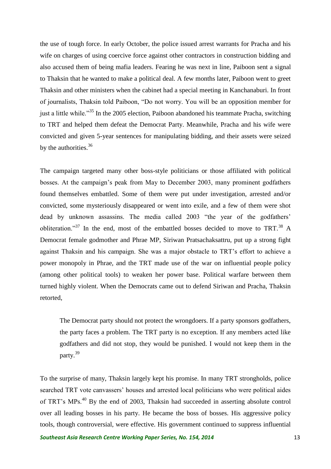the use of tough force. In early October, the police issued arrest warrants for Pracha and his wife on charges of using coercive force against other contractors in construction bidding and also accused them of being mafia leaders. Fearing he was next in line, Paiboon sent a signal to Thaksin that he wanted to make a political deal. A few months later, Paiboon went to greet Thaksin and other ministers when the cabinet had a special meeting in Kanchanaburi. In front of journalists, Thaksin told Paiboon, "Do not worry. You will be an opposition member for just a little while.<sup>35</sup> In the 2005 election, Paiboon abandoned his teammate Pracha, switching to TRT and helped them defeat the Democrat Party. Meanwhile, Pracha and his wife were convicted and given 5-year sentences for manipulating bidding, and their assets were seized by the authorities.<sup>36</sup>

The campaign targeted many other boss-style politicians or those affiliated with political bosses. At the campaign's peak from May to December 2003, many prominent godfathers found themselves embattled. Some of them were put under investigation, arrested and/or convicted, some mysteriously disappeared or went into exile, and a few of them were shot dead by unknown assassins. The media called 2003 "the year of the godfathers' obliteration."<sup>37</sup> In the end, most of the embattled bosses decided to move to TRT.<sup>38</sup> A Democrat female godmother and Phrae MP, Siriwan Pratsachaksattru, put up a strong fight against Thaksin and his campaign. She was a major obstacle to TRT's effort to achieve a power monopoly in Phrae, and the TRT made use of the war on influential people policy (among other political tools) to weaken her power base. Political warfare between them turned highly violent. When the Democrats came out to defend Siriwan and Pracha, Thaksin retorted,

The Democrat party should not protect the wrongdoers. If a party sponsors godfathers, the party faces a problem. The TRT party is no exception. If any members acted like godfathers and did not stop, they would be punished. I would not keep them in the party.<sup>39</sup>

To the surprise of many, Thaksin largely kept his promise. In many TRT strongholds, police searched TRT vote canvassers' houses and arrested local politicians who were political aides of TRT's MPs.<sup>40</sup> By the end of 2003, Thaksin had succeeded in asserting absolute control over all leading bosses in his party. He became the boss of bosses. His aggressive policy tools, though controversial, were effective. His government continued to suppress influential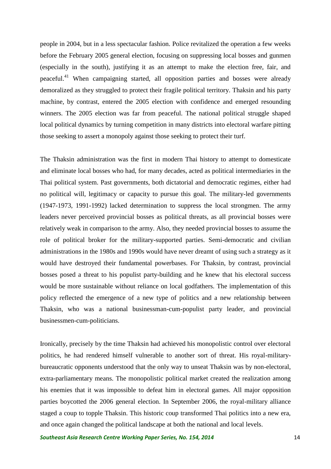people in 2004, but in a less spectacular fashion. Police revitalized the operation a few weeks before the February 2005 general election, focusing on suppressing local bosses and gunmen (especially in the south), justifying it as an attempt to make the election free, fair, and peaceful.<sup>41</sup> When campaigning started, all opposition parties and bosses were already demoralized as they struggled to protect their fragile political territory. Thaksin and his party machine, by contrast, entered the 2005 election with confidence and emerged resounding winners. The 2005 election was far from peaceful. The national political struggle shaped local political dynamics by turning competition in many districts into electoral warfare pitting those seeking to assert a monopoly against those seeking to protect their turf.

The Thaksin administration was the first in modern Thai history to attempt to domesticate and eliminate local bosses who had, for many decades, acted as political intermediaries in the Thai political system. Past governments, both dictatorial and democratic regimes, either had no political will, legitimacy or capacity to pursue this goal. The military-led governments (1947-1973, 1991-1992) lacked determination to suppress the local strongmen. The army leaders never perceived provincial bosses as political threats, as all provincial bosses were relatively weak in comparison to the army. Also, they needed provincial bosses to assume the role of political broker for the military-supported parties. Semi-democratic and civilian administrations in the 1980s and 1990s would have never dreamt of using such a strategy as it would have destroyed their fundamental powerbases. For Thaksin, by contrast, provincial bosses posed a threat to his populist party-building and he knew that his electoral success would be more sustainable without reliance on local godfathers. The implementation of this policy reflected the emergence of a new type of politics and a new relationship between Thaksin, who was a national businessman-cum-populist party leader, and provincial businessmen-cum-politicians.

Ironically, precisely by the time Thaksin had achieved his monopolistic control over electoral politics, he had rendered himself vulnerable to another sort of threat. His royal-militarybureaucratic opponents understood that the only way to unseat Thaksin was by non-electoral, extra-parliamentary means. The monopolistic political market created the realization among his enemies that it was impossible to defeat him in electoral games. All major opposition parties boycotted the 2006 general election. In September 2006, the royal-military alliance staged a coup to topple Thaksin. This historic coup transformed Thai politics into a new era, and once again changed the political landscape at both the national and local levels.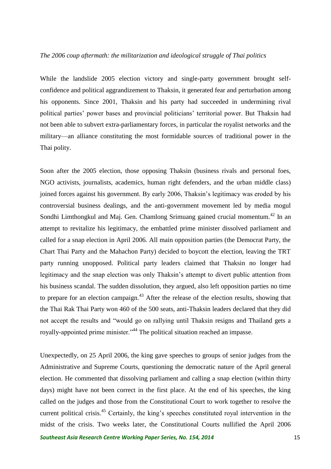#### *The 2006 coup aftermath: the militarization and ideological struggle of Thai politics*

While the landslide 2005 election victory and single-party government brought selfconfidence and political aggrandizement to Thaksin, it generated fear and perturbation among his opponents. Since 2001, Thaksin and his party had succeeded in undermining rival political parties' power bases and provincial politicians' territorial power. But Thaksin had not been able to subvert extra-parliamentary forces, in particular the royalist networks and the military—an alliance constituting the most formidable sources of traditional power in the Thai polity.

Soon after the 2005 election, those opposing Thaksin (business rivals and personal foes, NGO activists, journalists, academics, human right defenders, and the urban middle class) joined forces against his government. By early 2006, Thaksin's legitimacy was eroded by his controversial business dealings, and the anti-government movement led by media mogul Sondhi Limthongkul and Maj. Gen. Chamlong Srimuang gained crucial momentum.<sup>42</sup> In an attempt to revitalize his legitimacy, the embattled prime minister dissolved parliament and called for a snap election in April 2006. All main opposition parties (the Democrat Party, the Chart Thai Party and the Mahachon Party) decided to boycott the election, leaving the TRT party running unopposed. Political party leaders claimed that Thaksin no longer had legitimacy and the snap election was only Thaksin's attempt to divert public attention from his business scandal. The sudden dissolution, they argued, also left opposition parties no time to prepare for an election campaign.<sup>43</sup> After the release of the election results, showing that the Thai Rak Thai Party won 460 of the 500 seats, anti-Thaksin leaders declared that they did not accept the results and "would go on rallying until Thaksin resigns and Thailand gets a royally-appointed prime minister."<sup>44</sup> The political situation reached an impasse.

Unexpectedly, on 25 April 2006, the king gave speeches to groups of senior judges from the Administrative and Supreme Courts, questioning the democratic nature of the April general election. He commented that dissolving parliament and calling a snap election (within thirty days) might have not been correct in the first place. At the end of his speeches, the king called on the judges and those from the Constitutional Court to work together to resolve the current political crisis.<sup>45</sup> Certainly, the king's speeches constituted royal intervention in the midst of the crisis. Two weeks later, the Constitutional Courts nullified the April 2006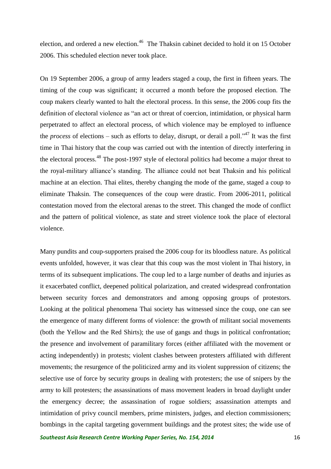election, and ordered a new election.<sup>46</sup> The Thaksin cabinet decided to hold it on 15 October 2006. This scheduled election never took place.

On 19 September 2006, a group of army leaders staged a coup, the first in fifteen years. The timing of the coup was significant; it occurred a month before the proposed election. The coup makers clearly wanted to halt the electoral process. In this sense, the 2006 coup fits the definition of electoral violence as "an act or threat of coercion, intimidation, or physical harm perpetrated to affect an electoral process, of which violence may be employed to influence the *process* of elections – such as efforts to delay, disrupt, or derail a poll.<sup>347</sup> It was the first time in Thai history that the coup was carried out with the intention of directly interfering in the electoral process.<sup>48</sup> The post-1997 style of electoral politics had become a major threat to the royal-military alliance's standing. The alliance could not beat Thaksin and his political machine at an election. Thai elites, thereby changing the mode of the game, staged a coup to eliminate Thaksin. The consequences of the coup were drastic. From 2006-2011, political contestation moved from the electoral arenas to the street. This changed the mode of conflict and the pattern of political violence, as state and street violence took the place of electoral violence.

Many pundits and coup-supporters praised the 2006 coup for its bloodless nature. As political events unfolded, however, it was clear that this coup was the most violent in Thai history, in terms of its subsequent implications. The coup led to a large number of deaths and injuries as it exacerbated conflict, deepened political polarization, and created widespread confrontation between security forces and demonstrators and among opposing groups of protestors. Looking at the political phenomena Thai society has witnessed since the coup, one can see the emergence of many different forms of violence: the growth of militant social movements (both the Yellow and the Red Shirts); the use of gangs and thugs in political confrontation; the presence and involvement of paramilitary forces (either affiliated with the movement or acting independently) in protests; violent clashes between protesters affiliated with different movements; the resurgence of the politicized army and its violent suppression of citizens; the selective use of force by security groups in dealing with protesters; the use of snipers by the army to kill protesters; the assassinations of mass movement leaders in broad daylight under the emergency decree; the assassination of rogue soldiers; assassination attempts and intimidation of privy council members, prime ministers, judges, and election commissioners; bombings in the capital targeting government buildings and the protest sites; the wide use of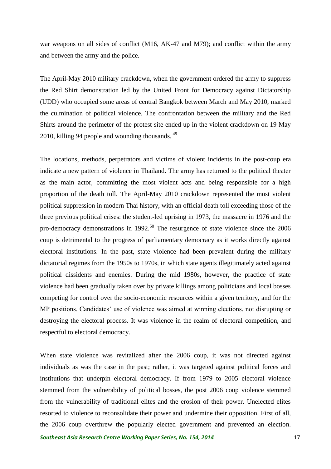war weapons on all sides of conflict (M16, AK-47 and M79); and conflict within the army and between the army and the police.

The April-May 2010 military crackdown, when the government ordered the army to suppress the Red Shirt demonstration led by the United Front for Democracy against Dictatorship (UDD) who occupied some areas of central Bangkok between March and May 2010, marked the culmination of political violence. The confrontation between the military and the Red Shirts around the perimeter of the protest site ended up in the violent crackdown on 19 May 2010, killing 94 people and wounding thousands. <sup>49</sup>

The locations, methods, perpetrators and victims of violent incidents in the post-coup era indicate a new pattern of violence in Thailand. The army has returned to the political theater as the main actor, committing the most violent acts and being responsible for a high proportion of the death toll. The April-May 2010 crackdown represented the most violent political suppression in modern Thai history, with an official death toll exceeding those of the three previous political crises: the student-led uprising in 1973, the massacre in 1976 and the pro-democracy demonstrations in 1992.<sup>50</sup> The resurgence of state violence since the 2006 coup is detrimental to the progress of parliamentary democracy as it works directly against electoral institutions. In the past, state violence had been prevalent during the military dictatorial regimes from the 1950s to 1970s, in which state agents illegitimately acted against political dissidents and enemies. During the mid 1980s, however, the practice of state violence had been gradually taken over by private killings among politicians and local bosses competing for control over the socio-economic resources within a given territory, and for the MP positions. Candidates' use of violence was aimed at winning elections, not disrupting or destroying the electoral process. It was violence in the realm of electoral competition, and respectful to electoral democracy.

When state violence was revitalized after the 2006 coup, it was not directed against individuals as was the case in the past; rather, it was targeted against political forces and institutions that underpin electoral democracy. If from 1979 to 2005 electoral violence stemmed from the vulnerability of political bosses, the post 2006 coup violence stemmed from the vulnerability of traditional elites and the erosion of their power. Unelected elites resorted to violence to reconsolidate their power and undermine their opposition. First of all, the 2006 coup overthrew the popularly elected government and prevented an election.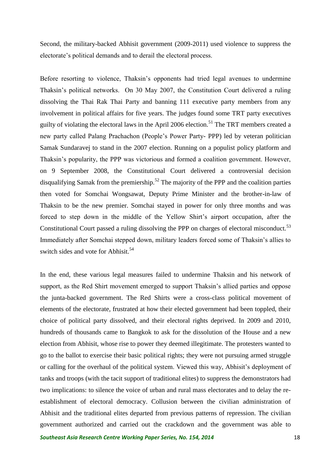Second, the military-backed Abhisit government (2009-2011) used violence to suppress the electorate's political demands and to derail the electoral process.

Before resorting to violence, Thaksin's opponents had tried legal avenues to undermine Thaksin's political networks. On 30 May 2007, the Constitution Court delivered a ruling dissolving the Thai Rak Thai Party and banning 111 executive party members from any involvement in political affairs for five years. The judges found some TRT party executives guilty of violating the electoral laws in the April 2006 election.<sup>51</sup> The TRT members created a new party called Palang Prachachon (People's Power Party- PPP) led by veteran politician Samak Sundaravej to stand in the 2007 election. Running on a populist policy platform and Thaksin's popularity, the PPP was victorious and formed a coalition government. However, on 9 September 2008, the Constitutional Court delivered a controversial decision disqualifying Samak from the premiership.<sup>52</sup> The majority of the PPP and the coalition parties then voted for Somchai Wongsawat, Deputy Prime Minister and the brother-in-law of Thaksin to be the new premier. Somchai stayed in power for only three months and was forced to step down in the middle of the Yellow Shirt's airport occupation, after the Constitutional Court passed a ruling dissolving the PPP on charges of electoral misconduct.<sup>53</sup> Immediately after Somchai stepped down, military leaders forced some of Thaksin's allies to switch sides and vote for Abhisit.<sup>54</sup>

In the end, these various legal measures failed to undermine Thaksin and his network of support, as the Red Shirt movement emerged to support Thaksin's allied parties and oppose the junta-backed government. The Red Shirts were a cross-class political movement of elements of the electorate, frustrated at how their elected government had been toppled, their choice of political party dissolved, and their electoral rights deprived. In 2009 and 2010, hundreds of thousands came to Bangkok to ask for the dissolution of the House and a new election from Abhisit, whose rise to power they deemed illegitimate. The protesters wanted to go to the ballot to exercise their basic political rights; they were not pursuing armed struggle or calling for the overhaul of the political system. Viewed this way, Abhisit's deployment of tanks and troops (with the tacit support of traditional elites) to suppress the demonstrators had two implications: to silence the voice of urban and rural mass electorates and to delay the reestablishment of electoral democracy. Collusion between the civilian administration of Abhisit and the traditional elites departed from previous patterns of repression. The civilian government authorized and carried out the crackdown and the government was able to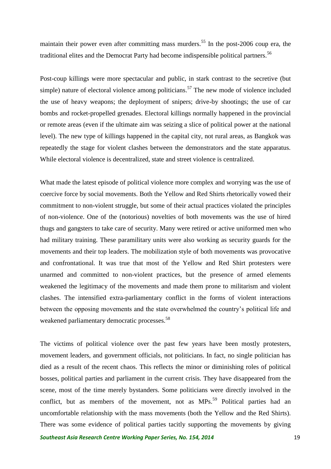maintain their power even after committing mass murders.<sup>55</sup> In the post-2006 coup era, the traditional elites and the Democrat Party had become indispensible political partners.<sup>56</sup>

Post-coup killings were more spectacular and public, in stark contrast to the secretive (but simple) nature of electoral violence among politicians.<sup>57</sup> The new mode of violence included the use of heavy weapons; the deployment of snipers; drive-by shootings; the use of car bombs and rocket-propelled grenades. Electoral killings normally happened in the provincial or remote areas (even if the ultimate aim was seizing a slice of political power at the national level). The new type of killings happened in the capital city, not rural areas, as Bangkok was repeatedly the stage for violent clashes between the demonstrators and the state apparatus. While electoral violence is decentralized, state and street violence is centralized.

What made the latest episode of political violence more complex and worrying was the use of coercive force by social movements. Both the Yellow and Red Shirts rhetorically vowed their commitment to non-violent struggle, but some of their actual practices violated the principles of non-violence. One of the (notorious) novelties of both movements was the use of hired thugs and gangsters to take care of security. Many were retired or active uniformed men who had military training. These paramilitary units were also working as security guards for the movements and their top leaders. The mobilization style of both movements was provocative and confrontational. It was true that most of the Yellow and Red Shirt protesters were unarmed and committed to non-violent practices, but the presence of armed elements weakened the legitimacy of the movements and made them prone to militarism and violent clashes. The intensified extra-parliamentary conflict in the forms of violent interactions between the opposing movements and the state overwhelmed the country's political life and weakened parliamentary democratic processes.<sup>58</sup>

The victims of political violence over the past few years have been mostly protesters, movement leaders, and government officials, not politicians. In fact, no single politician has died as a result of the recent chaos. This reflects the minor or diminishing roles of political bosses, political parties and parliament in the current crisis. They have disappeared from the scene, most of the time merely bystanders. Some politicians were directly involved in the conflict, but as members of the movement, not as  $MPs$ .<sup>59</sup> Political parties had an uncomfortable relationship with the mass movements (both the Yellow and the Red Shirts). There was some evidence of political parties tacitly supporting the movements by giving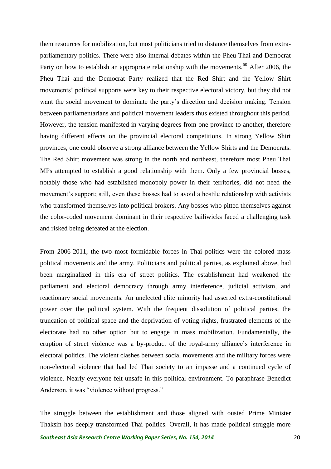them resources for mobilization, but most politicians tried to distance themselves from extraparliamentary politics. There were also internal debates within the Pheu Thai and Democrat Party on how to establish an appropriate relationship with the movements.<sup>60</sup> After 2006, the Pheu Thai and the Democrat Party realized that the Red Shirt and the Yellow Shirt movements' political supports were key to their respective electoral victory, but they did not want the social movement to dominate the party's direction and decision making. Tension between parliamentarians and political movement leaders thus existed throughout this period. However, the tension manifested in varying degrees from one province to another, therefore having different effects on the provincial electoral competitions. In strong Yellow Shirt provinces, one could observe a strong alliance between the Yellow Shirts and the Democrats. The Red Shirt movement was strong in the north and northeast, therefore most Pheu Thai MPs attempted to establish a good relationship with them. Only a few provincial bosses, notably those who had established monopoly power in their territories, did not need the movement's support; still, even these bosses had to avoid a hostile relationship with activists who transformed themselves into political brokers. Any bosses who pitted themselves against the color-coded movement dominant in their respective bailiwicks faced a challenging task and risked being defeated at the election.

From 2006-2011, the two most formidable forces in Thai politics were the colored mass political movements and the army. Politicians and political parties, as explained above, had been marginalized in this era of street politics. The establishment had weakened the parliament and electoral democracy through army interference, judicial activism, and reactionary social movements. An unelected elite minority had asserted extra-constitutional power over the political system. With the frequent dissolution of political parties, the truncation of political space and the deprivation of voting rights, frustrated elements of the electorate had no other option but to engage in mass mobilization. Fundamentally, the eruption of street violence was a by-product of the royal-army alliance's interference in electoral politics. The violent clashes between social movements and the military forces were non-electoral violence that had led Thai society to an impasse and a continued cycle of violence. Nearly everyone felt unsafe in this political environment. To paraphrase Benedict Anderson, it was "violence without progress."

*Southeast Asia Research Centre Working Paper Series, No. 154, 2014* 20 The struggle between the establishment and those aligned with ousted Prime Minister Thaksin has deeply transformed Thai politics. Overall, it has made political struggle more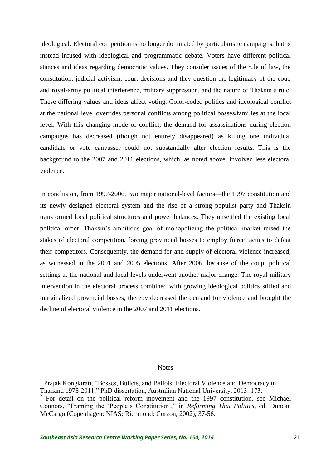ideological. Electoral competition is no longer dominated by particularistic campaigns, but is instead infused with ideological and programmatic debate. Voters have different political stances and ideas regarding democratic values. They consider issues of the rule of law, the constitution, judicial activism, court decisions and they question the legitimacy of the coup and royal-army political interference, military suppression, and the nature of Thaksin's rule. These differing values and ideas affect voting. Color-coded politics and ideological conflict at the national level overrides personal conflicts among political bosses/families at the local level. With this changing mode of conflict, the demand for assassinations during election campaigns has decreased (though not entirely disappeared) as killing one individual candidate or vote canvasser could not substantially alter election results. This is the background to the 2007 and 2011 elections, which, as noted above, involved less electoral violence.

In conclusion, from 1997-2006, two major national-level factors—the 1997 constitution and its newly designed electoral system and the rise of a strong populist party and Thaksin transformed local political structures and power balances. They unsettled the existing local political order. Thaksin's ambitious goal of monopolizing the political market raised the stakes of electoral competition, forcing provincial bosses to employ fierce tactics to defeat their competitors. Consequently, the demand for and supply of electoral violence increased, as witnessed in the 2001 and 2005 elections. After 2006, because of the coup, political settings at the national and local levels underwent another major change. The royal-military intervention in the electoral process combined with growing ideological politics stifled and marginalized provincial bosses, thereby decreased the demand for violence and brought the decline of electoral violence in the 2007 and 2011 elections.

**Notes** 

 $\overline{a}$ 

<sup>&</sup>lt;sup>1</sup> Prajak Kongkirati, "Bosses, Bullets, and Ballots: Electoral Violence and Democracy in Thailand 1975-2011," PhD dissertation, Australian National University, 2013: 173. <sup>2</sup> For detail on the political reform movement and the 1997 constitution, see Michael Connors, "Framing the 'People's Constitution'," in *Reforming Thai Politics*, ed. Duncan McCargo (Copenhagen: NIAS; Richmond: Curzon, 2002), 37-56.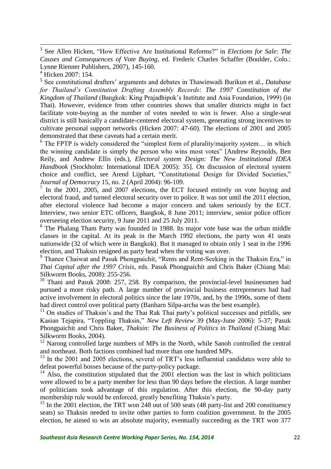3 See Allen Hicken, "How Effective Are Institutional Reforms?" in *Elections for Sale: The Causes and Consequences of Vote Buying*, ed. Frederic Charles Schaffer (Boulder, Colo.: Lynne Rienner Publishers, 2007), 145-160.

5 See constitutional drafters' arguments and debates in Thawinwadi Burikun et al., *Database for Thailand's Constitution Drafting Assembly Records: The 1997 Constitution of the Kingdom of Thailand* (Bangkok: King Prajadhipok's Institute and Asia Foundation, 1999) (in Thai). However, evidence from other countries shows that smaller districts might in fact facilitate vote-buying as the number of votes needed to win is fewer. Also a single-seat district is still basically a candidate-centered electoral system, generating strong incentives to cultivate personal support networks (Hicken 2007: 47-60). The elections of 2001 and 2005 demonstrated that these caveats had a certain merit.

 $6$  The FPTP is widely considered the "simplest form of plurality/majority system... in which the winning candidate is simply the person who wins most votes" [Andrew Reynolds, Ben Reily, and Andrew Ellis (eds.), *Electoral system Design: The New Institutional IDEA Handbook* (Stockholm: International IDEA 2005): 35]. On discussion of electoral system choice and conflict, see Arend Lijphart, "Constitutional Design for Divided Societies," *Journal of Democracy* 15, no. 2 (April 2004): 96-109.

<sup>7</sup> In the 2001, 2005, and 2007 elections, the ECT focused entirely on vote buying and electoral fraud, and turned electoral security over to police. It was not until the 2011 election, after electoral violence had become a major concern and taken seriously by the ECT. Interview, two senior ETC officers, Bangkok, 8 June 2011; interview, senior police officer overseeing election security, 9 June 2011 and 25 July 2011.

<sup>8</sup> The Phalang Tham Party was founded in 1988. Its major vote base was the urban middle classes in the capital. At its peak in the March 1992 elections, the party won 41 seats nationwide (32 of which were in Bangkok). But it managed to obtain only 1 seat in the 1996 election, and Thaksin resigned as party head when the voting was over.

<sup>9</sup> Thanee Chaiwat and Pasuk Phongpaichit, "Rents and Rent-Seeking in the Thaksin Era," in *Thai Capital after the 1997 Crisis*, eds. Pasuk Phongpaichit and Chris Baker (Chiang Mai: Silkworm Books, 2008): 255-256.

<sup>10</sup> Thani and Pasuk 2008: 257, 258. By comparison, the provincial-level businessmen had pursued a more risky path. A large number of provincial business entrepreneurs had had active involvement in electoral politics since the late 1970s, and, by the 1990s, some of them had direct control over political party (Banharn Silpa-archa was the best example).

 $11$  On studies of Thaksin's and the Thai Rak Thai party's political successes and pitfalls, see Kasian Tejapira, "Toppling Thaksin," *New Left Review* 39 (May-June 2006): 5-37; Pasuk Phongpaichit and Chris Baker, *Thaksin: The Business of Politics in Thailand* (Chiang Mai: Silkworm Books, 2004).

 $12$  Narong controlled large numbers of MPs in the North, while Sanoh controlled the central and northeast. Both factions combined had more than one hundred MPs.

<sup>13</sup> In the 2001 and 2005 elections, several of TRT's less influential candidates were able to defeat powerful bosses because of the party-policy package.

 $14$  Also, the constitution stipulated that the 2001 election was the last in which politicians were allowed to be a party member for less than 90 days before the election. A large number of politicians took advantage of this regulation. After this election, the 90-day party membership rule would be enforced, greatly benefiting Thaksin's party.

 $15$  In the 2001 election, the TRT won 248 out of 500 seats (48 party-list and 200 constituency seats) so Thaksin needed to invite other parties to form coalition government. In the 2005 election, he aimed to win an absolute majority, eventually succeeding as the TRT won 377

<sup>&</sup>lt;sup>4</sup> Hicken 2007: 154.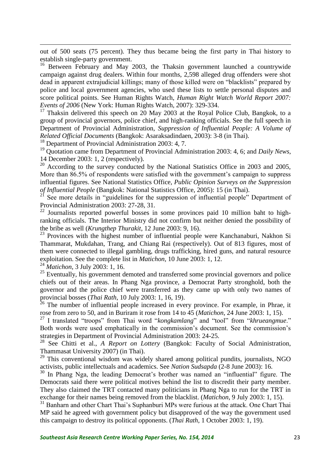out of 500 seats (75 percent). They thus became being the first party in Thai history to establish single-party government.

<sup>16</sup> Between February and May 2003, the Thaksin government launched a countrywide campaign against drug dealers. Within four months, 2,598 alleged drug offenders were shot dead in apparent extrajudicial killings; many of those killed were on "blacklists" prepared by police and local government agencies, who used these lists to settle personal disputes and score political points. See Human Rights Watch, *Human Right Watch World Report 2007: Events of 2006* (New York: Human Rights Watch, 2007): 329-334.

<sup>17</sup> Thaksin delivered this speech on 20 May 2003 at the Royal Police Club, Bangkok, to a group of provincial governors, police chief, and high-ranking officials. See the full speech in Department of Provincial Administration, *Suppression of Influential People: A Volume of Related Official Documents* (Bangkok: Asaraksadindaen, 2003): 3-8 (in Thai).

<sup>18</sup> Department of Provincial Administration 2003: 4, 7.

<sup>19</sup> Quotation came from Department of Provincial Administration 2003: 4, 6; and *Daily News*, 14 December 2003: 1, 2 (respectively).

<sup>20</sup> According to the survey conducted by the National Statistics Office in 2003 and 2005, More than 86.5% of respondents were satisfied with the government's campaign to suppress influential figures. See National Statistics Office, *Public Opinion Surveys on the Suppression of Influential People* (Bangkok: National Statistics Office, 2005): 15 (in Thai).

<sup>21</sup> See more details in "guidelines for the suppression of influential people" Department of Provincial Administration 2003: 27-28, 31.

 $22$  Journalists reported powerful bosses in some provinces paid 10 million baht to highranking officials. The Interior Ministry did not confirm but neither denied the possibility of the bribe as well (*Krungthep Thurakit*, 12 June 2003: 9, 16).

<sup>23</sup> Provinces with the highest number of influential people were Kanchanaburi, Nakhon Si Thammarat, Mukdahan, Trang, and Chiang Rai (respectively). Out of 813 figures, most of them were connected to illegal gambling, drugs trafficking, hired guns, and natural resource exploitation. See the complete list in *Matichon*, 10 June 2003: 1, 12.

<sup>24</sup> *Matichon*, 3 July 2003: 1, 16.

1

 $25$  Eventually, his government demoted and transferred some provincial governors and police chiefs out of their areas. In Phang Nga province, a Democrat Party stronghold, both the governor and the police chief were transferred as they came up with only two names of provincial bosses (*Thai Rath*, 10 July 2003: 1, 16, 19).

 $26$  The number of influential people increased in every province. For example, in Phrae, it rose from zero to 50, and in Buriram it rose from 14 to 45 (*Matichon*, 24 June 2003: 1, 15).

<sup>27</sup> I translated "troops" from Thai word "*kongkamlang*" and "tool" from "*khrueangmue*." Both words were used emphatically in the commission's document. See the commission's strategies in Department of Provincial Administration 2003: 24-25.

<sup>28</sup> See Chitti et al., *A Report on Lottery* (Bangkok: Faculty of Social Administration, Thammasat University 2007) (in Thai).

<sup>29</sup> This conventional wisdom was widely shared among political pundits, journalists, NGO activists, public intellectuals and academics. See *Nation Sudsapda* (2-8 June 2003): 16.

<sup>30</sup> In Phang Nga, the leading Democrat's brother was named an "influential" figure. The Democrats said there were political motives behind the list to discredit their party member. They also claimed the TRT contacted many politicians in Phang Nga to run for the TRT in exchange for their names being removed from the blacklist. (*Matichon*, 9 July 2003: 1, 15).

<sup>31</sup> Banharn and other Chart Thai's Suphanburi MPs were furious at the attack. One Chart Thai MP said he agreed with government policy but disapproved of the way the government used this campaign to destroy its political opponents. (*Thai Rath*, 1 October 2003: 1, 19).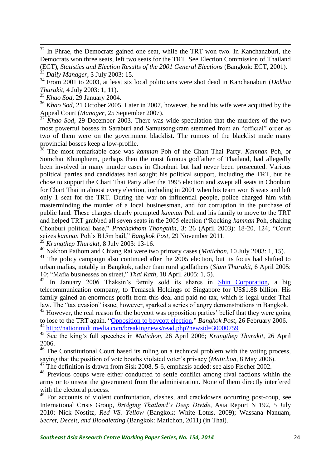$32$  In Phrae, the Democrats gained one seat, while the TRT won two. In Kanchanaburi, the Democrats won three seats, left two seats for the TRT. See Election Commission of Thailand (ECT), *Statistics and Election Results of the 2001 General Elections* (Bangkok: ECT, 2001).

<sup>34</sup> From 2001 to 2003, at least six local politicians were shot dead in Kanchanaburi (*Dokbia Thurakit*, 4 July 2003: 1, 11).

<sup>35</sup> *Khao Sod*, 29 January 2004.

1

<sup>36</sup> *Khao Sod*, 21 October 2005. Later in 2007, however, he and his wife were acquitted by the Appeal Court (*Manager*, 25 September 2007).

<sup>37</sup> *Khao Sod*, 29 December 2003. There was wide speculation that the murders of the two most powerful bosses in Saraburi and Samutsongkram stemmed from an "official" order as two of them were on the government blacklist. The rumors of the blacklist made many provincial bosses keep a low-profile.

<sup>38</sup> The most remarkable case was *kamnan* Poh of the Chart Thai Party. *Kamnan* Poh, or Somchai Khunpluem, perhaps then the most famous godfather of Thailand, had allegedly been involved in many murder cases in Chonburi but had never been prosecuted. Various political parties and candidates had sought his political support, including the TRT, but he chose to support the Chart Thai Party after the 1995 election and swept all seats in Chonburi for Chart Thai in almost every election, including in 2001 when his team won 6 seats and left only 1 seat for the TRT. During the war on influential people, police charged him with masterminding the murder of a local businessman, and for corruption in the purchase of public land. These charges clearly prompted *kamnan* Poh and his family to move to the TRT and helped TRT grabbed all seven seats in the 2005 election ("Rocking *kamnan* Poh, shaking Chonburi political base," *Prachakhom Thongthin*, 3: 26 (April 2003): 18-20, 124; "Court seizes *kamnan* Poh's B15m bail," *Bangkok Post*, 29 November 2011.

<sup>39</sup> *Krungthep Thurakit*, 8 July 2003: 13-16.

<sup>40</sup> Nakhon Pathom and Chiang Rai were two primary cases (*Matichon*, 10 July 2003: 1, 15).

 $41$  The policy campaign also continued after the 2005 election, but its focus had shifted to urban mafias, notably in Bangkok, rather than rural godfathers (*Siam Thurakit*, 6 April 2005: 10; "Mafia businesses on street," *Thai Rath*, 18 April 2005: 1, 5).

 $42$  In January 2006 Thaksin's family sold its shares in **Shin Corporation**, a big telecommunication company, to Temasek Holdings of Singapore for US\$1.88 billion. His family gained an enormous profit from this deal and paid no tax, which is legal under Thai law. The "tax evasion" issue, however, sparked a series of angry demonstrations in Bangkok.

 $43$  However, the real reason for the boycott was opposition parties' belief that they were going to lose to the TRT again. ["Opposition to boycott election,](http://www.bangkokpost.co.th/News/26Feb2006_news01.php)" *Bangkok Post*, 26 February 2006. <sup>44</sup> <http://nationmultimedia.com/breakingnews/read.php?newsid=30000759>

<sup>45</sup> See the king's full speeches in *Matichon*, 26 April 2006; *Krungthep Thurakit*, 26 April 2006.

<sup>46</sup> The Constitutional Court based its ruling on a technical problem with the voting process, saying that the position of vote booths violated voter's privacy (*Matichon*, 8 May 2006).

 $47$  The definition is drawn from Sisk 2008, 5-6, emphasis added; see also Fischer 2002.

<sup>48</sup> Previous coups were either conducted to settle conflict among rival factions within the army or to unseat the government from the administration. None of them directly interfered with the electoral process.

<sup>49</sup> For accounts of violent confrontation, clashes, and crackdowns occurring post-coup, see International Crisis Group, *Bridging Thailand's Deep Divide*, Asia Report N 192, 5 July 2010; Nick Nostitz, *Red VS. Yellow* (Bangkok: White Lotus, 2009); Wassana Nanuam, *Secret, Deceit, and Bloodletting* (Bangkok: Matichon, 2011) (in Thai).

<sup>33</sup> *Daily Manager*, 3 July 2003: 15.